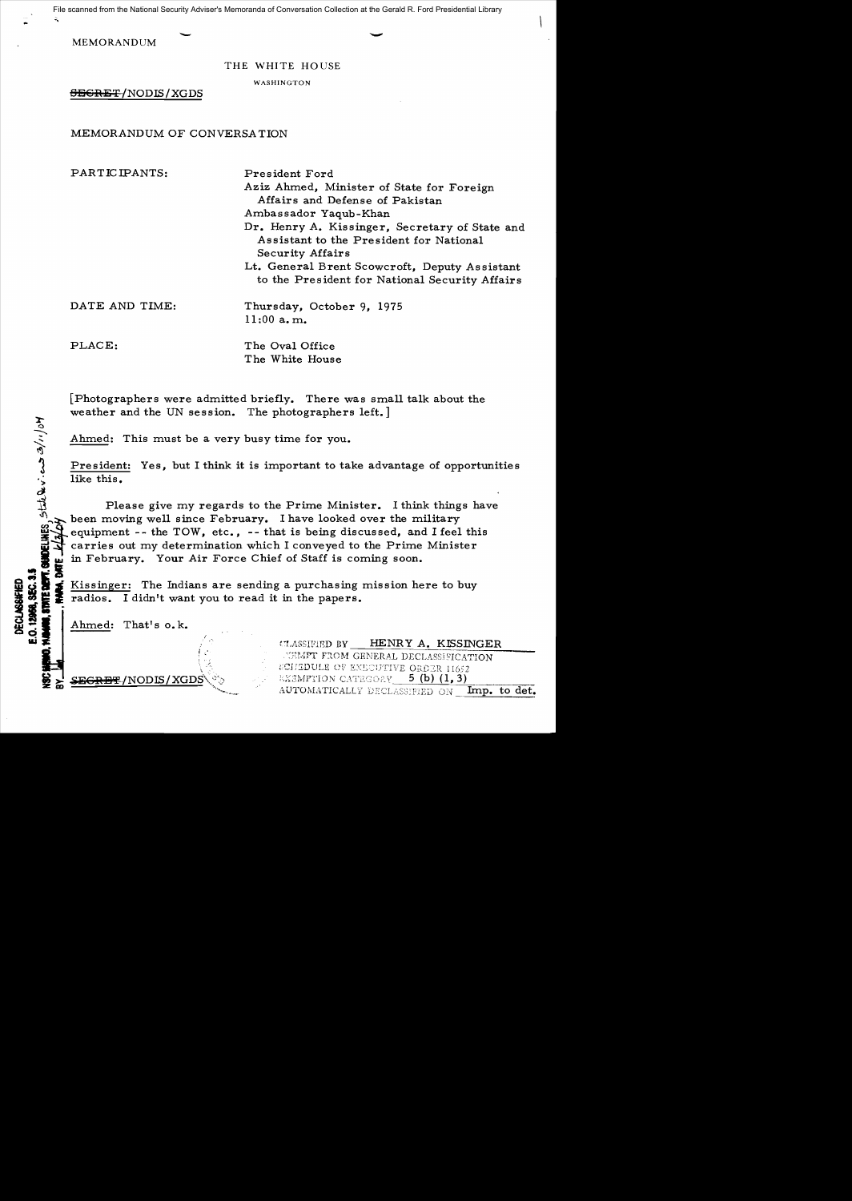File scanned from the National Security Adviser's Memoranda of Conversation Collection at the Gerald R. Ford Presidential Library

MEMORANDUM

THE WHITE HOUSE

WASHINGTON

SECRET /NODIS / XGDS

# MEMORANDUM OF CONVERSA TION

| PARTICIPANTS:  | President Ford<br>Aziz Ahmed, Minister of State for Foreign<br>Affairs and Defense of Pakistan<br>Ambassador Yaqub-Khan<br>Dr. Henry A. Kissinger, Secretary of State and<br>Assistant to the President for National<br>Security Affairs |
|----------------|------------------------------------------------------------------------------------------------------------------------------------------------------------------------------------------------------------------------------------------|
|                | Lt. General Brent Scowcroft, Deputy Assistant<br>to the President for National Security Affairs                                                                                                                                          |
| DATE AND TIME: | Thursday, October 9, 1975<br>$11:00$ a.m.                                                                                                                                                                                                |
| PLACE:         | The Oval Office<br>The White House                                                                                                                                                                                                       |

[Photographers were admitted briefly. There was small talk about the weather and the UN session. The photographers left.]

Ahmed: This must be a very busy time for you.

 $\cdot$   $\cdot$ 

--

President: Yes, but I think it is important to take advantage of opportunities like this.

Please give my regards to the Prime Minister. I think things have been moving well since February. I have looked over the military  $\mathbb{Z}^3$  equipment -- the TOW, etc., -- that is being discussed, and I feel equipment -- the TOW, etc., -- that is being discussed, and I feel this carries out my determination which I conveyed to the Prime Minister in February. Your Air Force Chief of Staff is coming soon.

Ei Berger: The Indians are sending a purchasing mission here to buy<br> **Example 2** radios. I didn't want you to read it in the papers.<br> **Example: That's o.k.**<br> **Example: That's o.k.**<br>
Comments of the paper of the paper of th

Ahmed: That's o.k.

 $\tt{SEGRBF/NODIS/XGDS}$ 

HENRY A. KISSINGER CLASSIFIED BY **NEMPT FROM GENERAL DECLASSIFICATION** SCHEDULE OF EXECUTIVE ORDER 11652 *EXEMPTION CATEGORY* 5 (b) (1, 3) AUTOMATICALLY DECLASSIFIED ON Imp. to det.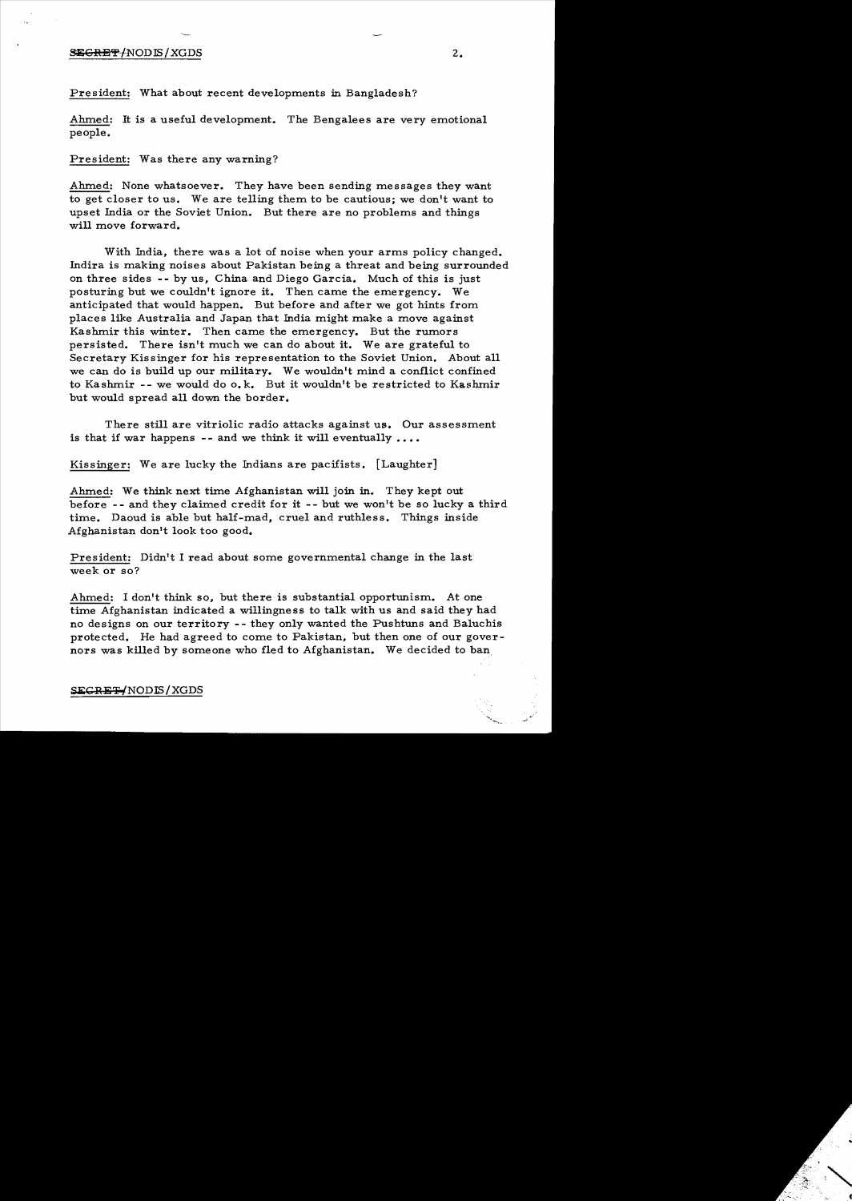#### $\overline{\text{SEGRBF}}$  /NOD IS / XGDS  $2.2$

President: What about recent developments in Bangladesh?

Ahmed: It is a useful development. The Bengalees are very emotional people.

President: Was there any warning?

Ahmed: None whatsoever. They have been sending messages they want to get closer to us. We are tellmg them to be cautious; we don't want to upset India or the Soviet Union. But there are no problems and things will move forward.

With India, there was a lot of noise when your arms policy changed. Indira is making noises about Pakistan being a threat and being surrounded on three sides -- by us, China and Diego Garcia. Much of this is just posturmg but we couldn't ignore it. Then came the emergency. We anticipated that would happen. But before and after we got hints from places like Australia and Japan that India might make a move against Kashmir this winter. Then came the emergency. But the rumors persisted. There isn't much we can do about it. We are grateful to Secretary Kissinger for his representation to the Soviet Union. About all we can do is build up our military. We wouldn't mind a conflict confined to Kashmir  $-$ - we would do  $\mathfrak{g}_k$ . But it wouldn't be restricted to Kashmir but would spread all down the border.

There still are vitriolic radio attacks against us. Our assessment is that if war happens -- and we think it will eventually  $\dots$ 

Kissinger: We are lucky the Indians are pacifists. [Laughter]

Ahmed: We think next time Afghanistan will join in. They kept out before - - and they claimed credit for it - - but we won't be so lucky a third time. Daoud is able but half-mad, cruel and ruthless. Things inside Afghanistan don't look too good.

President: Didn't I read about some governmental change in the last week or so?

Ahmed: I don't think so, but there is substantial opportunism. At one time Afghanistan indicated a willingness to talk with us and said they had no designs on our territory - - they only wanted the Pushtuns and Baluchis protected. He had agreed to come to Pakistan, but then one of our governors was killed by someone who fled to Afghanistan. We decided to ban

## SEGRET/NODIS/XGDS

...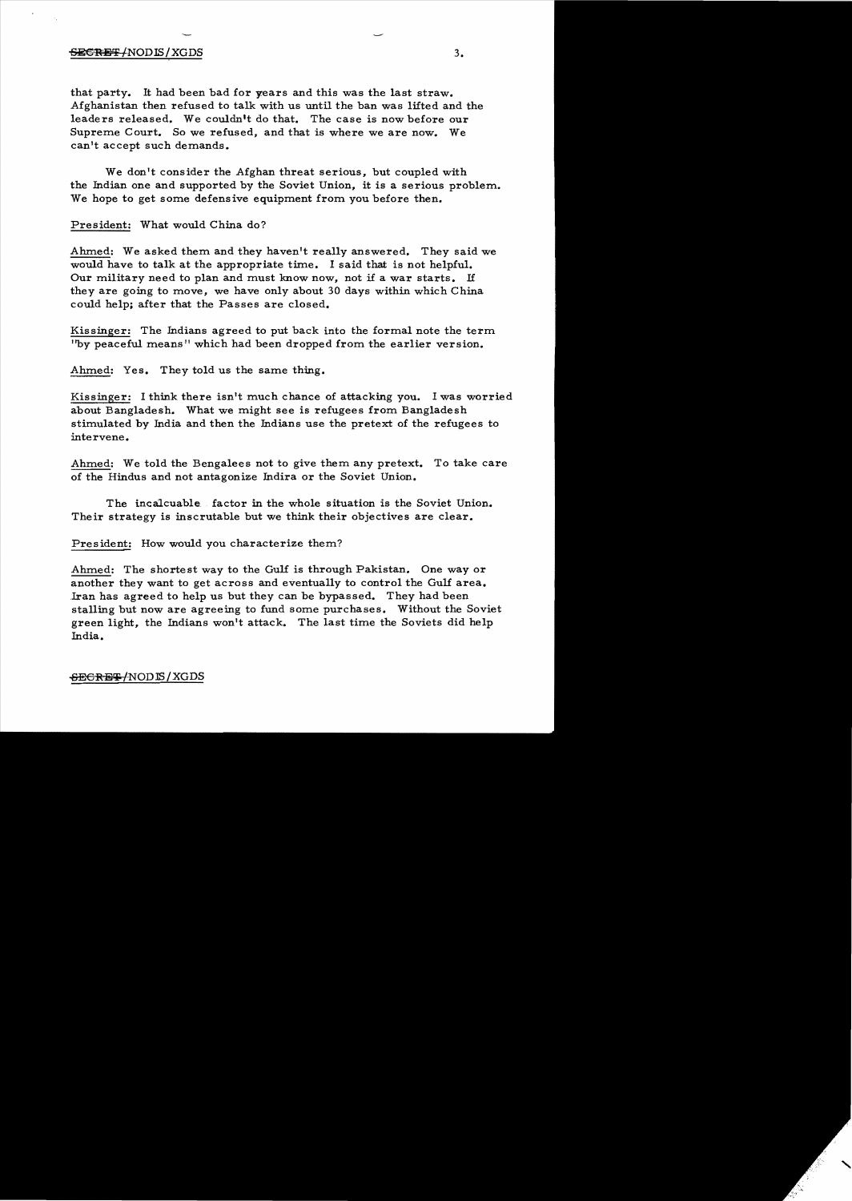#### $\overline{\text{SE}}$ GRET /NODIS/XGDS  $3.$

that party. It had been bad for years and this was the last straw. Afghanistan then refused to talk with us until the ban was lifted and the leaders released. We couldn't do that. The case is now before our Supreme Court. So we refused, and that is where we are now. We can't accept such demands.

We don't consider the Afghan threat serious, but coupled with the Indian one and supported by the Soviet Union, it is a serious problem. We hope to get some defensive equipment from you before then.

President: What would China do?

Ahmed: We asked them and they haven't really answered. They said we would have to talk at the appropriate time. I said that is not helpful. Our military need to plan and must know now, not if a war starts. <sup>H</sup> they are going to move, we have only about 30 days within which China could help; after that the Passes are closed.

Kissinger: The Indians agreed to put back into the formal note the term ''by peaceful means II which had been dropped from the earlier version.

Ahmed: Yes. They told us the same thing.

Kissinger: I think there isn't much chance of attacking you. I was worried about Bangladesh. What we might see is refugees from Bangladesh stimulated by India and then the Indians use the pretext of the refugees to intervene.

Ahmed: We told the Bengalees not to give them any pretext. To take care of the Hindus and not antagonize Indira or the Soviet Union.

The incalcuable. factor in the whole situation is the Soviet Union. Their strategy is inscrutable but we think their objectives are clear.

President: How would you characterize them?

Ahmed: The shortest way to the Gulf is through Pakistan. One way or another they want to get across and eventually to control the Gulf area. Iran has agreed to help us but they can be bypassed. They had been stalling but now are agreeing to fund some purchases. Without the Soviet green light, the Indians won't attack. The last time the Soviets did help India.

 $-$ <del>SECRET/</del>NODIS/XGDS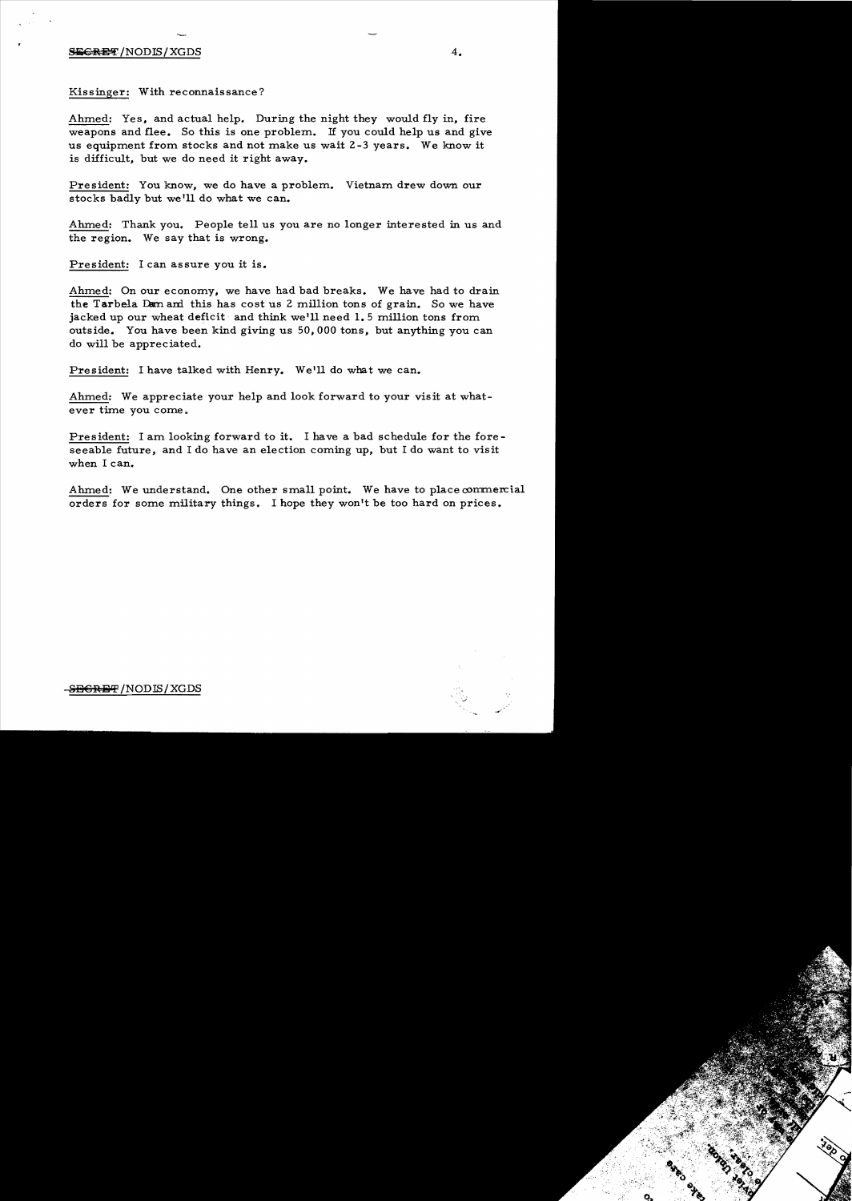## $S$ iis $GR$   $\overline{BF}$  /NODIS/XGDS  $4.$

Kissinger: With reconnaissance?

Ahmed: Yes, and actual help. During the night they would fly in, fire weapons and flee. So this is one problem. If you could help us and give us equipment from stocks and not make us wait 2-3 years. We know it is difficult, but we do need it right away.

President: You know, we do have a problem. Vietnam drew down our stocks badly but we'll do what we can.

Ahmed: Thank you. People tell us you are no longer interested in us and the region. We say that is wrong.

President: I can assure you it is.

Ahmed: On our economy, we have had bad breaks. We have had to drain the Tarbela Dam and this has cost us 2 million tons of grain. So we have jacked up our wheat deficit and think weill need **1.5** million tons from outside. You have been kind giving us 50, 000 tons, but anything you can do will be appreciated.

President: I have talked with Henry. We'll do what we can.

Ahmed: We appreciate your help and look forward to your visit at whatever time you come.

President: I am looking forward to it. I have a bad schedule for the foreseeable future, and I do have an election coming up, but I do want to visit when I can.

Ahmed: We understand. One other small point. We have to place commercial orders for some military things. I hope they won't be too hard on prices.



-<del>SECRET</del> /NODIS / XGDS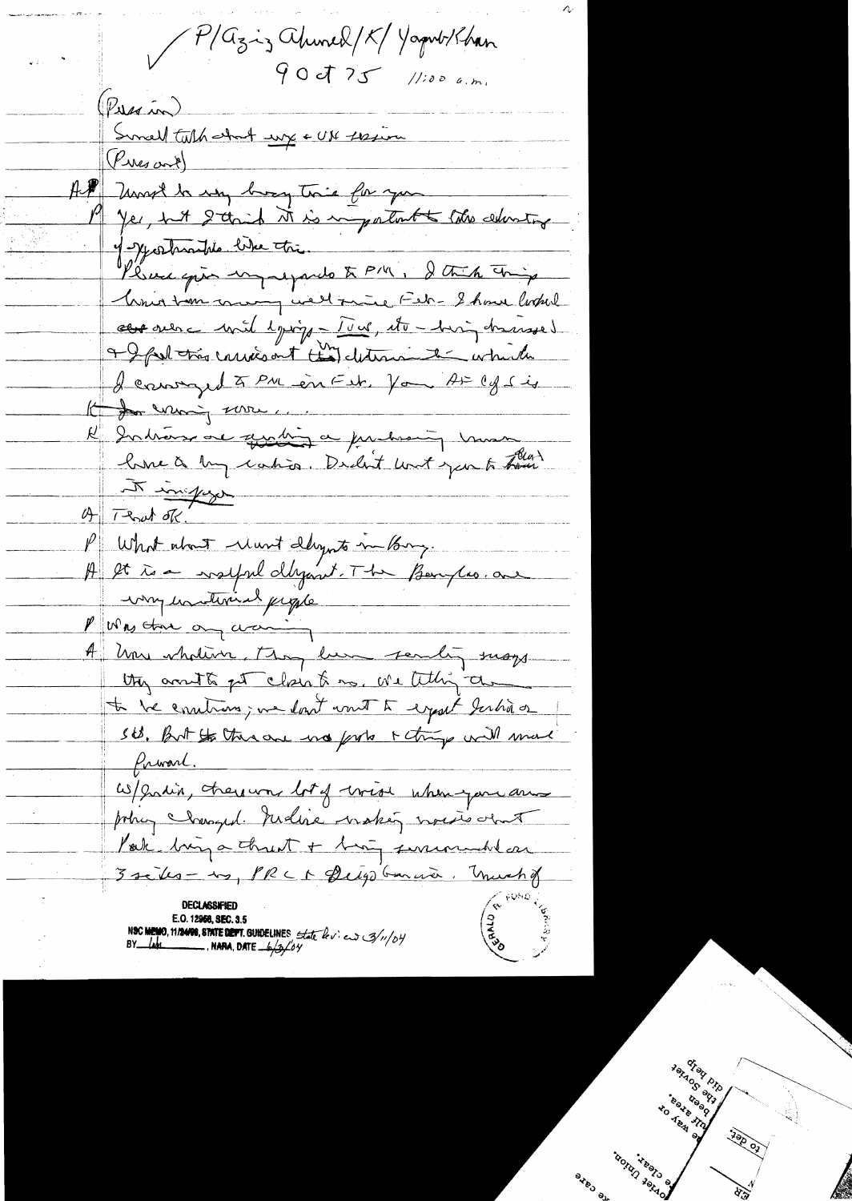P/Gziz ahmed/K/Yaput/han  $90J75$  //100 a.m. (Pussin) Suncell talk about wife + UN thesing (Pres and) AP Most la my broy trie for you Yes, hit grand it is important to the education of Jeshrantie like the Please quis impressando to PM, I think thing Unio tem commy well paine Feb - 8 hour looked abre surce with lying - Tour, etc. his hassed a I fut très conviction té des determinente entre els I cannyed à PM en Est. Vou A= 1g sig Komment une Rubins au gration au partis que man the townships  $4\sqrt{1-8}$  at ok. P What about New Daynts in Pary. A let te a valpel dégant. The Benyles. au way hastinich people Purs the ony waring A how whative, they lune sendly susy they arrith get close to me we telling the to be controns; me dont wont to export Jerhio or St. But the there was forts + things will made frivart. W/ grain, there was lot of write when you are potry clausyed redise wakes wasted about Pak buy a threat + buy surrounded on 3 seites - 20, PRC 1 Deigo Garnier, Unich& NSC MEMO, 11/2408, STATE DEPT. GUIDELINES State border 3/11/04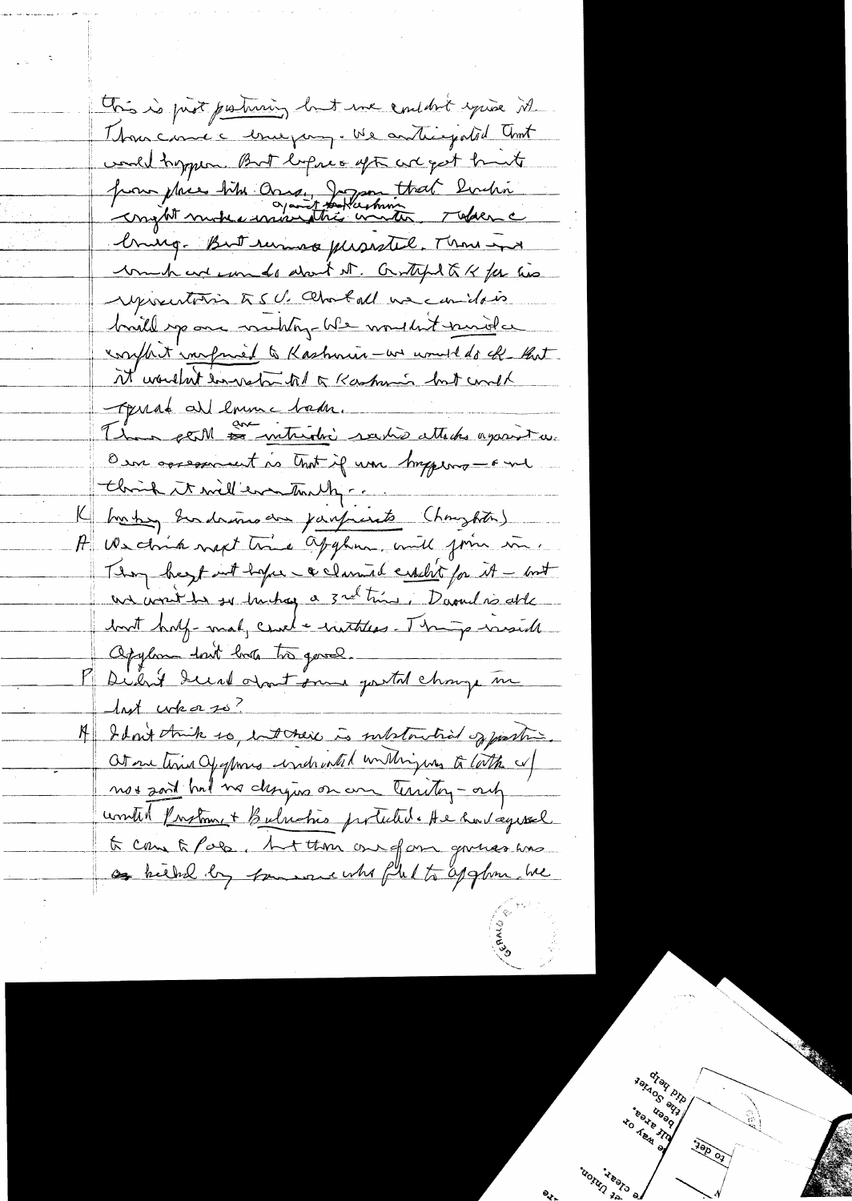This is just partnering but me containt you're it Thous came a truepamp. We anticipated that would trypen. But lespres upt are get trunts pour place titre conseil de trat buchin bring. But runnes pleasatel, Thou and un have und dont it. Grund & Her his reprentation to 5 U. Charloll we cando is build space weeking We wouldn't knowed a confluit inorganied to Kashmin-we would do ck - that it wouldn't los vatar til of Kaskunis but could Tyrrad all loume bada. Than perM <del>es intridu</del>i raisse attaches against au O in oppopenent is that if was briggers - F me Chrish it will even traily ... K hasten Indiana de janfrents (houghter) A We don't next time applien, will form in. Thoughout hope evenue cealit for it - but un wont the so truthag a 3 rd time, Davad is able but hay-mal, cried + institus. There wise the Opylon don't look très gave. P Dient du Nort son portal change me A Idon't think so, interes is substantial of pasting. Ot one time Of opmes undreated untingues to lath of not said had no designs on an territory - only until Protonnet Bulrahio protected. He had agreed to come to Pala, but those one of an governo was of hether by transace who ful to applion we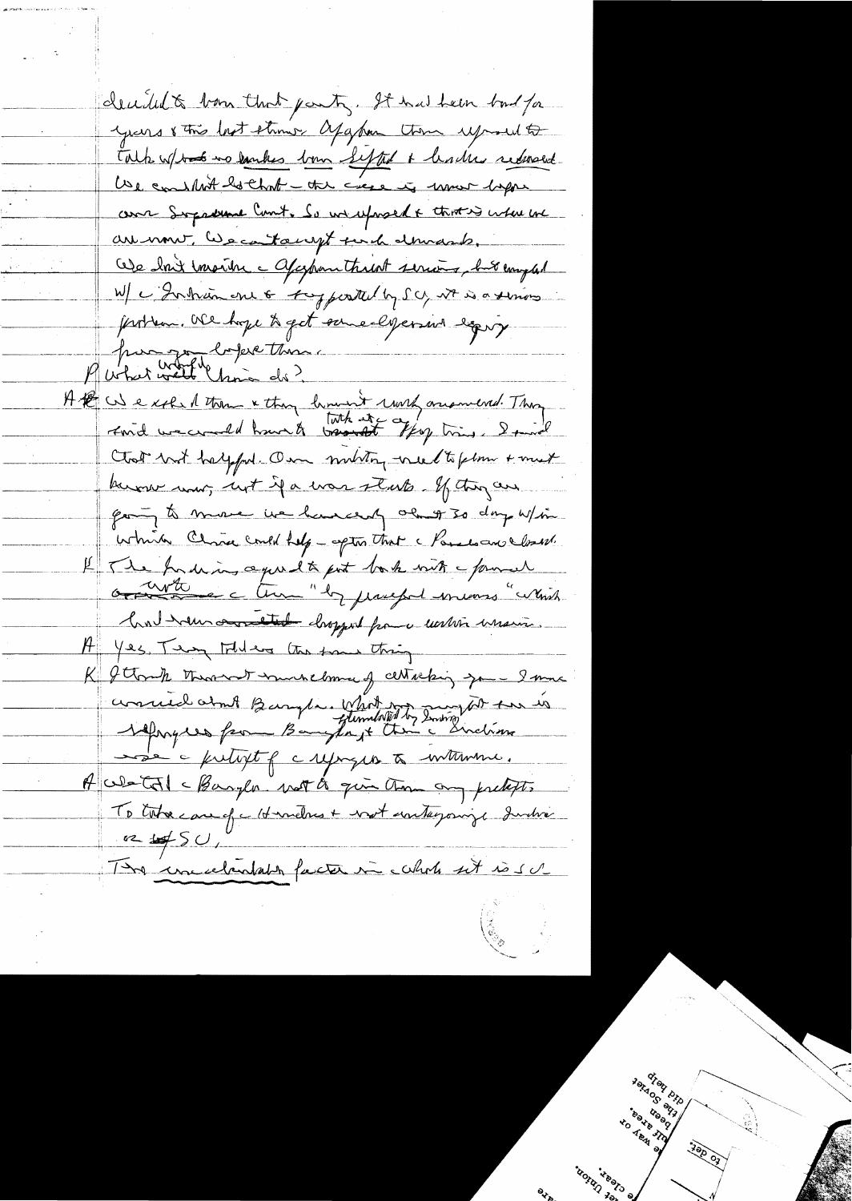decided to born that party. It has been but for years 8 this last strong, apapan them uproud to Talk w/tak no earles born Lefted + backer redevent We conslit bothout - the case is more lapse come Supreme Court. So un expresent & that is where and are mont, les catacupt par le demande. Ode dont inserter a afapointment serious, but emplod W/ c Intrance 6 toppearted by SC, Nt is a serious problem. We hope to get some els persons eggs Puter wetter de time A the US exclude them & they lumint work arominal. They Chat but halfful One munting need to felm + must know now, not if a was starts. If they are going to move we have and always so day w/in. which China could help - aptin that a Paradocus closest. Il The fording agree to put both with power had now an etal dropped from water main. H Yes, Tem Inder the four thing K Y Clomp therown woundelomme of certaching your I more consued aint Baryla, Whit is Invited to the Sie a futurt f crysys & withme. A West of a bangler with the give them any pretexts TD total care of a Hermelnes + vost embagainge durché  $\frac{1}{2}$ The uncelendate facture include set is su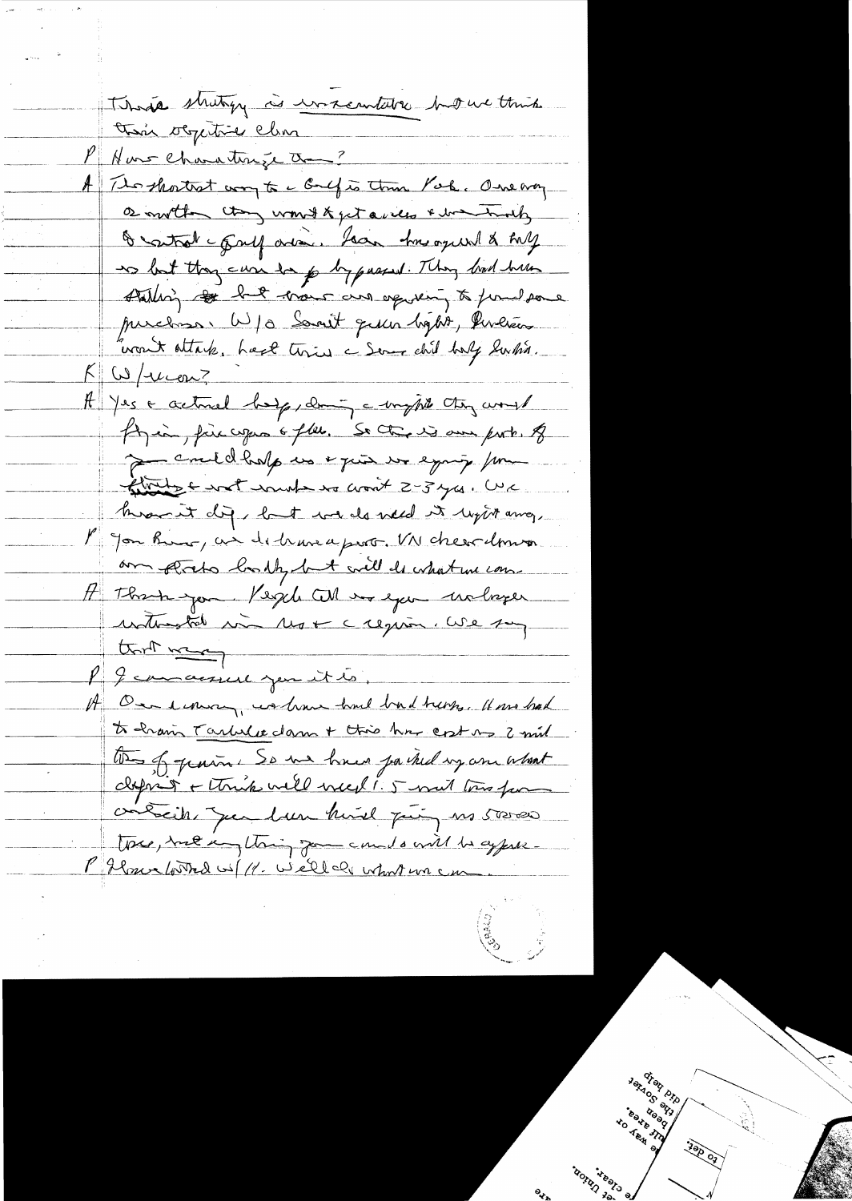Thosa struty à unsembler hour think this objective clin l'Aus Characterize à -? A Thompathet way to c Gulf is this Pork. One any a mother than won't kept aview & boat mother & satrak - finel area. Lean his oqueal & hill to but they can be p by passed. They had have stalling to but more and op very to fund some purchase. W/0 Samit qu'un bigbte, les lières want ottak. Look twie a Serve chil holy lunhin.  $K\omega/\omega$ con? A Jes a activel bey doing a mysil they would fin in fire copes & flee. So they is our port. of De couldholp us + qui us equip /m finite contenunt no won't 2-3 yes. We knownet dig, but we do need it light and, M Jon Rive, as detraneaport. VN cheer down am preto bomby but will do what we come H Thank you People When you welager unterstate min Mot crequan. We say that was I camacise jen it is, On emman, washing had but treng, It wo had to having Tarbelle damn + this has cost no 2 mil the of grain. So we have ja tud ug an about depois + think well week! 5 mil tous far contraites que bun huid puis es 50000 tous, me un thing for counts will be appelled P flore with we well all what we can